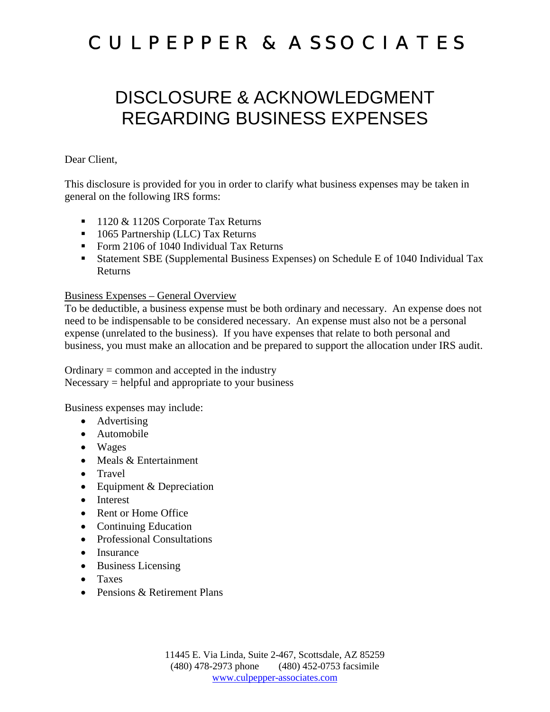### DISCLOSURE & ACKNOWLEDGMENT REGARDING BUSINESS EXPENSES

#### Dear Client,

This disclosure is provided for you in order to clarify what business expenses may be taken in general on the following IRS forms:

- 1120 & 1120S Corporate Tax Returns
- 1065 Partnership (LLC) Tax Returns
- Form 2106 of 1040 Individual Tax Returns
- Statement SBE (Supplemental Business Expenses) on Schedule E of 1040 Individual Tax Returns

#### Business Expenses – General Overview

To be deductible, a business expense must be both ordinary and necessary. An expense does not need to be indispensable to be considered necessary. An expense must also not be a personal expense (unrelated to the business). If you have expenses that relate to both personal and business, you must make an allocation and be prepared to support the allocation under IRS audit.

Ordinary = common and accepted in the industry  $Necessary = helpful$  and appropriate to your business

Business expenses may include:

- Advertising
- Automobile
- Wages
- Meals & Entertainment
- Travel
- Equipment & Depreciation
- Interest
- Rent or Home Office
- Continuing Education
- Professional Consultations
- Insurance
- Business Licensing
- Taxes
- Pensions & Retirement Plans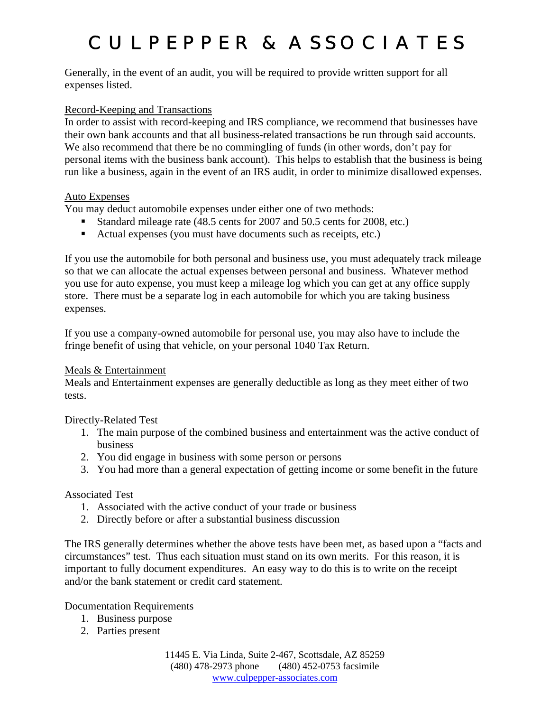Generally, in the event of an audit, you will be required to provide written support for all expenses listed.

#### Record-Keeping and Transactions

In order to assist with record-keeping and IRS compliance, we recommend that businesses have their own bank accounts and that all business-related transactions be run through said accounts. We also recommend that there be no commingling of funds (in other words, don't pay for personal items with the business bank account). This helps to establish that the business is being run like a business, again in the event of an IRS audit, in order to minimize disallowed expenses.

#### Auto Expenses

You may deduct automobile expenses under either one of two methods:

- Standard mileage rate (48.5 cents for 2007 and 50.5 cents for 2008, etc.)
- Actual expenses (you must have documents such as receipts, etc.)

If you use the automobile for both personal and business use, you must adequately track mileage so that we can allocate the actual expenses between personal and business. Whatever method you use for auto expense, you must keep a mileage log which you can get at any office supply store. There must be a separate log in each automobile for which you are taking business expenses.

If you use a company-owned automobile for personal use, you may also have to include the fringe benefit of using that vehicle, on your personal 1040 Tax Return.

#### Meals & Entertainment

Meals and Entertainment expenses are generally deductible as long as they meet either of two tests.

#### Directly-Related Test

- 1. The main purpose of the combined business and entertainment was the active conduct of business
- 2. You did engage in business with some person or persons
- 3. You had more than a general expectation of getting income or some benefit in the future

#### Associated Test

- 1. Associated with the active conduct of your trade or business
- 2. Directly before or after a substantial business discussion

The IRS generally determines whether the above tests have been met, as based upon a "facts and circumstances" test. Thus each situation must stand on its own merits. For this reason, it is important to fully document expenditures. An easy way to do this is to write on the receipt and/or the bank statement or credit card statement.

Documentation Requirements

- 1. Business purpose
- 2. Parties present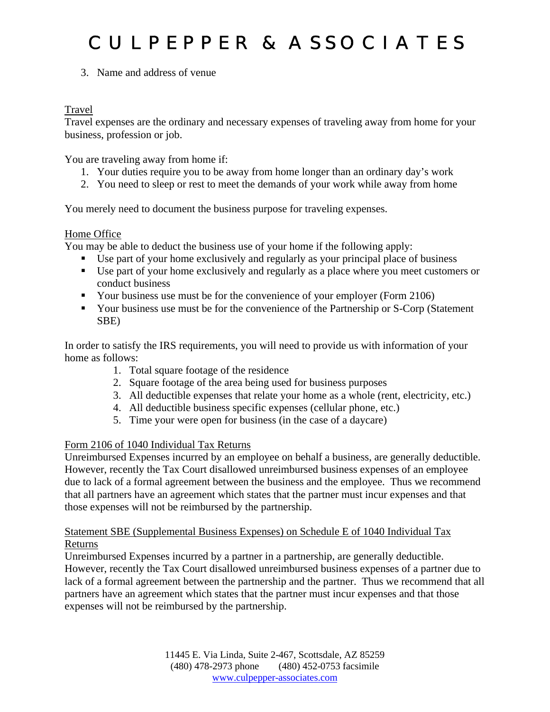3. Name and address of venue

#### Travel

Travel expenses are the ordinary and necessary expenses of traveling away from home for your business, profession or job.

You are traveling away from home if:

- 1. Your duties require you to be away from home longer than an ordinary day's work
- 2. You need to sleep or rest to meet the demands of your work while away from home

You merely need to document the business purpose for traveling expenses.

#### Home Office

You may be able to deduct the business use of your home if the following apply:

- Use part of your home exclusively and regularly as your principal place of business
- Use part of your home exclusively and regularly as a place where you meet customers or conduct business
- Your business use must be for the convenience of your employer (Form 2106)
- Your business use must be for the convenience of the Partnership or S-Corp (Statement SBE)

In order to satisfy the IRS requirements, you will need to provide us with information of your home as follows:

- 1. Total square footage of the residence
- 2. Square footage of the area being used for business purposes
- 3. All deductible expenses that relate your home as a whole (rent, electricity, etc.)
- 4. All deductible business specific expenses (cellular phone, etc.)
- 5. Time your were open for business (in the case of a daycare)

#### Form 2106 of 1040 Individual Tax Returns

Unreimbursed Expenses incurred by an employee on behalf a business, are generally deductible. However, recently the Tax Court disallowed unreimbursed business expenses of an employee due to lack of a formal agreement between the business and the employee. Thus we recommend that all partners have an agreement which states that the partner must incur expenses and that those expenses will not be reimbursed by the partnership.

#### Statement SBE (Supplemental Business Expenses) on Schedule E of 1040 Individual Tax Returns

Unreimbursed Expenses incurred by a partner in a partnership, are generally deductible. However, recently the Tax Court disallowed unreimbursed business expenses of a partner due to lack of a formal agreement between the partnership and the partner. Thus we recommend that all partners have an agreement which states that the partner must incur expenses and that those expenses will not be reimbursed by the partnership.